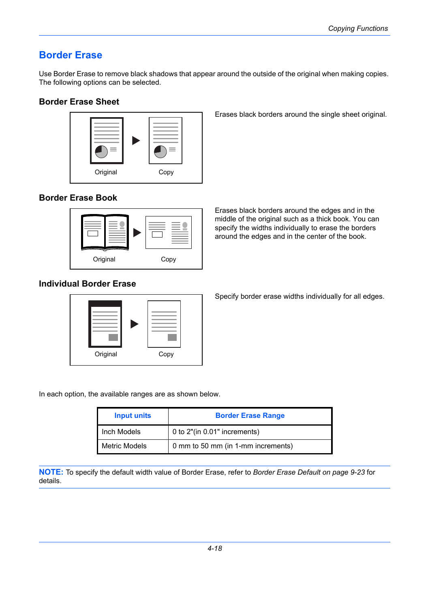# **Border Erase**

Use Border Erase to remove black shadows that appear around the outside of the original when making copies. The following options can be selected.

#### **Border Erase Sheet**



Erases black borders around the single sheet original.

### **Border Erase Book**



Erases black borders around the edges and in the middle of the original such as a thick book. You can specify the widths individually to erase the borders around the edges and in the center of the book.

## **Individual Border Erase**



Specify border erase widths individually for all edges.

In each option, the available ranges are as shown below.

| <b>Input units</b> | <b>Border Erase Range</b>          |  |  |
|--------------------|------------------------------------|--|--|
| Inch Models        | 0 to 2"(in 0.01" increments)       |  |  |
| Metric Models      | 0 mm to 50 mm (in 1-mm increments) |  |  |

**NOTE:** To specify the default width value of Border Erase, refer to *[Border Erase Default on page 9-23](#page--1-0)* for details.